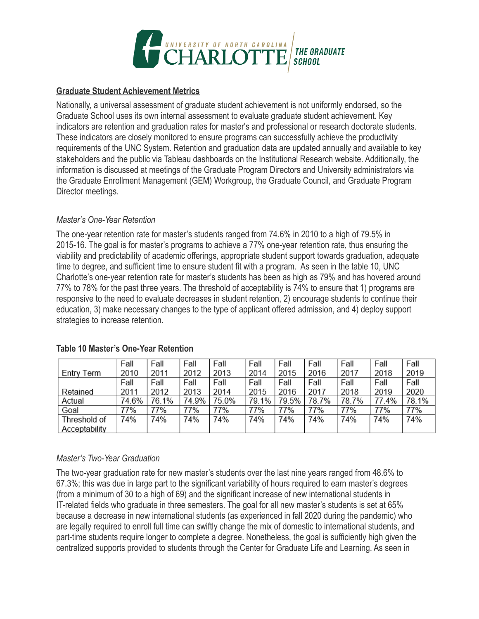

#### **Graduate Student Achievement Metrics**

Nationally, a universal assessment of graduate student achievement is not uniformly endorsed, so the Graduate School uses its own internal assessment to evaluate graduate student achievement. Key indicators are retention and graduation rates for master's and professional or research doctorate students. These indicators are closely monitored to ensure programs can successfully achieve the productivity requirements of the UNC System. Retention and graduation data are updated annually and available to key stakeholders and the public via Tableau dashboards on the Institutional Research website. Additionally, the information is discussed at meetings of the Graduate Program Directors and University administrators via the Graduate Enrollment Management (GEM) Workgroup, the Graduate Council, and Graduate Program Director meetings.

#### *Master's One-Year Retention*

The one-year retention rate for master's students ranged from 74.6% in 2010 to a high of 79.5% in 2015-16. The goal is for master's programs to achieve a 77% one-year retention rate, thus ensuring the viability and predictability of academic offerings, appropriate student support towards graduation, adequate time to degree, and sufficient time to ensure student fit with a program. As seen in the table 10, UNC Charlotte's one-year retention rate for master's students has been as high as 79% and has hovered around 77% to 78% for the past three years. The threshold of acceptability is 74% to ensure that 1) programs are responsive to the need to evaluate decreases in student retention, 2) encourage students to continue their education, 3) make necessary changes to the type of applicant offered admission, and 4) deploy support strategies to increase retention.

|               | Fall  | Fall  | Fall  | Fall  | Fall  | Fall  | Fall  | Fall  | Fall  | Fall  |
|---------------|-------|-------|-------|-------|-------|-------|-------|-------|-------|-------|
| Entry Term    | 2010  | 2011  | 2012  | 2013  | 2014  | 2015  | 2016  | 2017  | 2018  | 2019  |
|               | Fall  | Fall  | Fall  | Fall  | Fall  | Fall  | Fall  | Fall  | Fall  | Fall  |
| Retained      | 2011  | 2012  | 2013  | 2014  | 2015  | 2016  | 2017  | 2018  | 2019  | 2020  |
| Actual        | 74.6% | 76.1% | 74.9% | 75.0% | 79.1% | 79.5% | 78.7% | 78.7% | 77.4% | 78.1% |
| Goal          | 77%   | 77%   | 77%   | 77%   | 77%   | 77%   | 77%   | 77%   | 77%   | 77%   |
| Threshold of  | 74%   | 74%   | 74%   | 74%   | 74%   | 74%   | 74%   | 74%   | 74%   | 74%   |
| Acceptability |       |       |       |       |       |       |       |       |       |       |

# **Table 10 Master's One-Year Retention**

#### *Master's Two-Year Graduation*

The two-year graduation rate for new master's students over the last nine years ranged from 48.6% to 67.3%; this was due in large part to the significant variability of hours required to earn master's degrees (from a minimum of 30 to a high of 69) and the significant increase of new international students in IT-related fields who graduate in three semesters. The goal for all new master's students is set at 65% because a decrease in new international students (as experienced in fall 2020 during the pandemic) who are legally required to enroll full time can swiftly change the mix of domestic to international students, and part-time students require longer to complete a degree. Nonetheless, the goal is sufficiently high given the centralized supports provided to students through the Center for Graduate Life and Learning. As seen in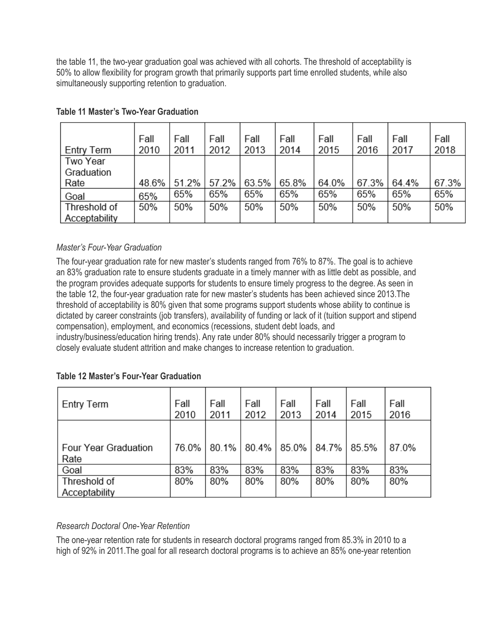the table 11, the two-year graduation goal was achieved with all cohorts. The threshold of acceptability is 50% to allow flexibility for program growth that primarily supports part time enrolled students, while also simultaneously supporting retention to graduation.

| Entry Term    | Fall<br>2010 | Fall<br>2011 | Fall<br>2012 | Fall<br>2013 | Fall<br>2014 | Fall<br>2015 | Fall<br>2016 | Fall<br>2017 | Fall<br>2018 |
|---------------|--------------|--------------|--------------|--------------|--------------|--------------|--------------|--------------|--------------|
| Two Year      |              |              |              |              |              |              |              |              |              |
| Graduation    |              |              |              |              |              |              |              |              |              |
| Rate          | 48.6%        | 51.2%        | 57.2%        | 63.5%        | 65.8%        | 64.0%        | 67.3%        | 64.4%        | 67.3%        |
| Goal          | 65%          | 65%          | 65%          | 65%          | 65%          | 65%          | 65%          | 65%          | 65%          |
| Threshold of  | 50%          | 50%          | 50%          | 50%          | 50%          | 50%          | 50%          | 50%          | 50%          |
| Acceptability |              |              |              |              |              |              |              |              |              |

## **Table 11 Master's Two-Year Graduation**

# *Master's Four-Year Graduation*

The four-year graduation rate for new master's students ranged from 76% to 87%. The goal is to achieve an 83% graduation rate to ensure students graduate in a timely manner with as little debt as possible, and the program provides adequate supports for students to ensure timely progress to the degree. As seen in the table 12, the four-year graduation rate for new master's students has been achieved since 2013.The threshold of acceptability is 80% given that some programs support students whose ability to continue is dictated by career constraints (job transfers), availability of funding or lack of it (tuition support and stipend compensation), employment, and economics (recessions, student debt loads, and industry/business/education hiring trends). Any rate under 80% should necessarily trigger a program to closely evaluate student attrition and make changes to increase retention to graduation.

|  |  |  | <b>Table 12 Master's Four-Year Graduation</b> |
|--|--|--|-----------------------------------------------|
|--|--|--|-----------------------------------------------|

| Fall<br>2010 | Fall<br>2011 | Fall<br>2012 | Fall<br>2013 | Fall<br>2014 | Fall<br>2015 | Fall<br>2016 |
|--------------|--------------|--------------|--------------|--------------|--------------|--------------|
| 76.0%        | 80.1%        | 80.4%        | 85.0%        |              | 85.5%        | 87.0%        |
| 83%          | 83%          | 83%          | 83%          | 83%          | 83%          | 83%          |
| 80%          | 80%          | 80%          | 80%          | 80%          | 80%          | 80%          |
|              |              |              |              |              | 84.7%        |              |

# *Research Doctoral One-Year Retention*

The one-year retention rate for students in research doctoral programs ranged from 85.3% in 2010 to a high of 92% in 2011.The goal for all research doctoral programs is to achieve an 85% one-year retention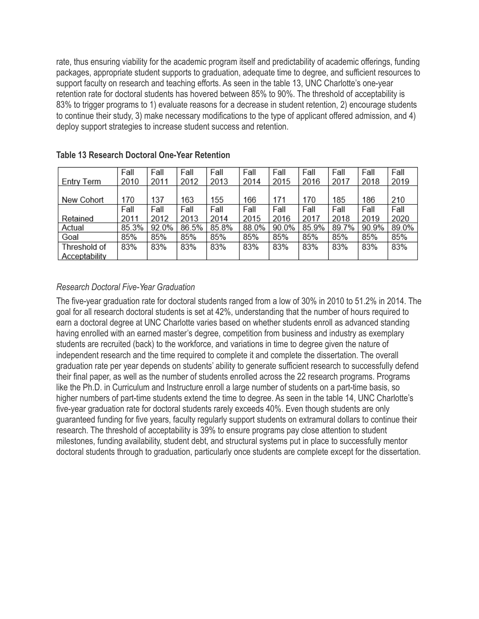rate, thus ensuring viability for the academic program itself and predictability of academic offerings, funding packages, appropriate student supports to graduation, adequate time to degree, and sufficient resources to support faculty on research and teaching efforts. As seen in the table 13, UNC Charlotte's one-year retention rate for doctoral students has hovered between 85% to 90%. The threshold of acceptability is 83% to trigger programs to 1) evaluate reasons for a decrease in student retention, 2) encourage students to continue their study, 3) make necessary modifications to the type of applicant offered admission, and 4) deploy support strategies to increase student success and retention.

|               | Fall  | Fall  | Fall  | Fall  | Fall  | Fall  | Fall  | Fall  | Fall  | Fall  |
|---------------|-------|-------|-------|-------|-------|-------|-------|-------|-------|-------|
|               |       |       |       |       |       |       |       |       |       |       |
| Entry Term    | 2010  | 2011  | 2012  | 2013  | 2014  | 2015  | 2016  | 2017  | 2018  | 2019  |
|               |       |       |       |       |       |       |       |       |       |       |
| New Cohort    | 170   | 137   | 163   | 155   | 166   | 171   | 170   | 185   | 186   | 210   |
|               | Fall  | Fall  | Fall  | Fall  | Fall  | Fall  | Fall  | Fall  | Fall  | Fall  |
| Retained      | 2011  | 2012  | 2013  | 2014  | 2015  | 2016  | 2017  | 2018  | 2019  | 2020  |
| Actual        | 85.3% | 92.0% | 86.5% | 85.8% | 88.0% | 90.0% | 85.9% | 89.7% | 90.9% | 89.0% |
| Goal          | 85%   | 85%   | 85%   | 85%   | 85%   | 85%   | 85%   | 85%   | 85%   | 85%   |
| Threshold of  | 83%   | 83%   | 83%   | 83%   | 83%   | 83%   | 83%   | 83%   | 83%   | 83%   |
| Acceptability |       |       |       |       |       |       |       |       |       |       |

#### **Table 13 Research Doctoral One-Year Retention**

### *Research Doctoral Five-Year Graduation*

The five-year graduation rate for doctoral students ranged from a low of 30% in 2010 to 51.2% in 2014. The goal for all research doctoral students is set at 42%, understanding that the number of hours required to earn a doctoral degree at UNC Charlotte varies based on whether students enroll as advanced standing having enrolled with an earned master's degree, competition from business and industry as exemplary students are recruited (back) to the workforce, and variations in time to degree given the nature of independent research and the time required to complete it and complete the dissertation. The overall graduation rate per year depends on students' ability to generate sufficient research to successfully defend their final paper, as well as the number of students enrolled across the 22 research programs. Programs like the Ph.D. in Curriculum and Instructure enroll a large number of students on a part-time basis, so higher numbers of part-time students extend the time to degree. As seen in the table 14, UNC Charlotte's five-year graduation rate for doctoral students rarely exceeds 40%. Even though students are only guaranteed funding for five years, faculty regularly support students on extramural dollars to continue their research. The threshold of acceptability is 39% to ensure programs pay close attention to student milestones, funding availability, student debt, and structural systems put in place to successfully mentor doctoral students through to graduation, particularly once students are complete except for the dissertation.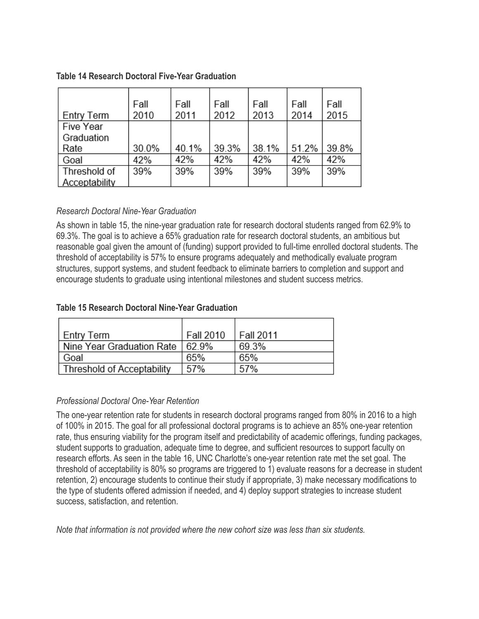| <b>Entry Term</b> | Fall<br>2010 | Fall<br>2011 | Fall<br>2012 | Fall<br>2013 | Fall<br>2014 | Fall<br>2015 |
|-------------------|--------------|--------------|--------------|--------------|--------------|--------------|
| Five Year         |              |              |              |              |              |              |
| Graduation        |              |              |              |              |              |              |
| Rate              | 30.0%        | 40.1%        | 39.3%        | 38.1%        | 51.2%        | 39.8%        |
| Goal              | 42%          | 42%          | 42%          | 42%          | 42%          | 42%          |
| Threshold of      | 39%          | 39%          | 39%          | 39%          | 39%          | 39%          |
| Acceptability     |              |              |              |              |              |              |

### **Table 14 Research Doctoral Five-Year Graduation**

### *Research Doctoral Nine-Year Graduation*

As shown in table 15, the nine-year graduation rate for research doctoral students ranged from 62.9% to 69.3%. The goal is to achieve a 65% graduation rate for research doctoral students, an ambitious but reasonable goal given the amount of (funding) support provided to full-time enrolled doctoral students. The threshold of acceptability is 57% to ensure programs adequately and methodically evaluate program structures, support systems, and student feedback to eliminate barriers to completion and support and encourage students to graduate using intentional milestones and student success metrics.

### **Table 15 Research Doctoral Nine-Year Graduation**

| Entry Term                 | Fall 2010 | <b>Fall 2011</b> |
|----------------------------|-----------|------------------|
| Nine Year Graduation Rate  | 629%      | 69.3%            |
| Goal                       | 65%       | 65%              |
| Threshold of Acceptability | 57%       | 57%              |

#### *Professional Doctoral One-Year Retention*

The one-year retention rate for students in research doctoral programs ranged from 80% in 2016 to a high of 100% in 2015. The goal for all professional doctoral programs is to achieve an 85% one-year retention rate, thus ensuring viability for the program itself and predictability of academic offerings, funding packages, student supports to graduation, adequate time to degree, and sufficient resources to support faculty on research efforts. As seen in the table 16, UNC Charlotte's one-year retention rate met the set goal. The threshold of acceptability is 80% so programs are triggered to 1) evaluate reasons for a decrease in student retention, 2) encourage students to continue their study if appropriate, 3) make necessary modifications to the type of students offered admission if needed, and 4) deploy support strategies to increase student success, satisfaction, and retention.

*Note that information is not provided where the new cohort size was less than six students.*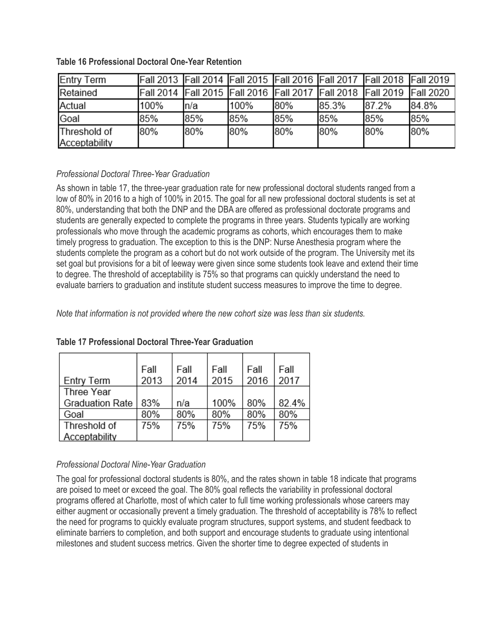| <b>Entry Term</b> |      |      |      |     |       | Fall 2013 Fall 2014 Fall 2015 Fall 2016 Fall 2017 Fall 2018 Fall 2019       |       |
|-------------------|------|------|------|-----|-------|-----------------------------------------------------------------------------|-------|
| Retained          |      |      |      |     |       | Fall 2014  Fall 2015  Fall 2016  Fall 2017  Fall 2018  Fall 2019  Fall 2020 |       |
| Actual            | 100% | ln/a | 100% | 80% | 85.3% | 87.2%                                                                       | 84.8% |
| Goal              | 85%  | 85%  | 85%  | 85% | 85%   | 85%                                                                         | 85%   |
| Threshold of      | 80%  | 80%  | 80%  | 80% | 80%   | 80%                                                                         | 80%   |
| Acceptability     |      |      |      |     |       |                                                                             |       |

## **Table 16 Professional Doctoral One-Year Retention**

# *Professional Doctoral Three-Year Graduation*

As shown in table 17, the three-year graduation rate for new professional doctoral students ranged from a low of 80% in 2016 to a high of 100% in 2015. The goal for all new professional doctoral students is set at 80%, understanding that both the DNP and the DBA are offered as professional doctorate programs and students are generally expected to complete the programs in three years. Students typically are working professionals who move through the academic programs as cohorts, which encourages them to make timely progress to graduation. The exception to this is the DNP: Nurse Anesthesia program where the students complete the program as a cohort but do not work outside of the program. The University met its set goal but provisions for a bit of leeway were given since some students took leave and extend their time to degree. The threshold of acceptability is 75% so that programs can quickly understand the need to evaluate barriers to graduation and institute student success measures to improve the time to degree.

*Note that information is not provided where the new cohort size was less than six students.*

|                        | Fall | Fall | Fall | Fall | Fall  |
|------------------------|------|------|------|------|-------|
| <b>Entry Term</b>      | 2013 | 2014 | 2015 | 2016 | 2017  |
| <b>Three Year</b>      |      |      |      |      |       |
| <b>Graduation Rate</b> | 83%  | n/a  | 100% | 80%  | 82.4% |
| Goal                   | 80%  | 80%  | 80%  | 80%  | 80%   |
| Threshold of           | 75%  | 75%  | 75%  | 75%  | 75%   |
| Acceptability          |      |      |      |      |       |

# **Table 17 Professional Doctoral Three-Year Graduation**

# *Professional Doctoral Nine-Year Graduation*

The goal for professional doctoral students is 80%, and the rates shown in table 18 indicate that programs are poised to meet or exceed the goal. The 80% goal reflects the variability in professional doctoral programs offered at Charlotte, most of which cater to full time working professionals whose careers may either augment or occasionally prevent a timely graduation. The threshold of acceptability is 78% to reflect the need for programs to quickly evaluate program structures, support systems, and student feedback to eliminate barriers to completion, and both support and encourage students to graduate using intentional milestones and student success metrics. Given the shorter time to degree expected of students in